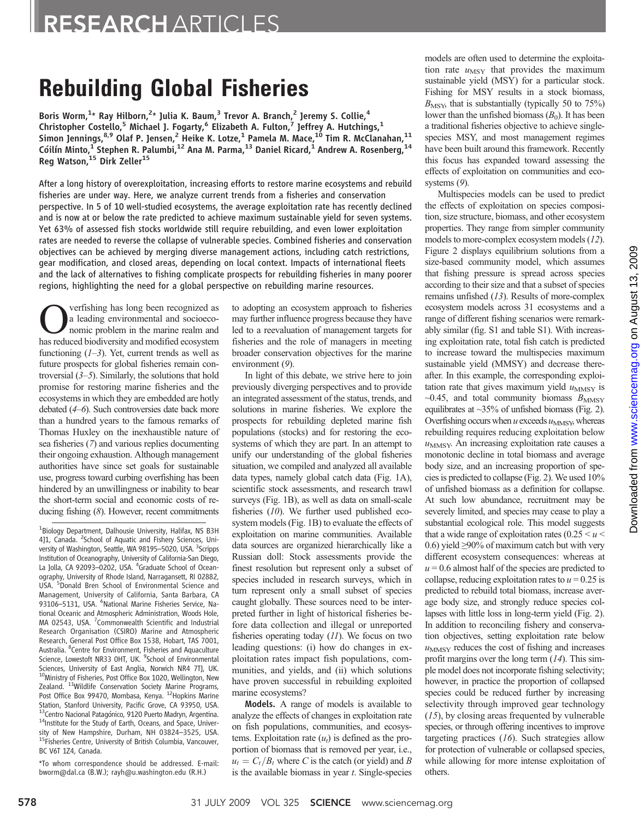# Rebuilding Global Fisheries

Boris Worm,<sup>1</sup>\* Ray Hilborn,<sup>2</sup>\* Julia K. Baum,<sup>3</sup> Trevor A. Branch,<sup>2</sup> Jeremy S. Collie,<sup>4</sup> Christopher Costello,<sup>5</sup> Michael J. Fogarty,<sup>6</sup> Elizabeth A. Fulton,<sup>7</sup> Jeffrey A. Hutchings,<sup>1</sup> Simon Jennings,<sup>8,9</sup> Olaf P. Jensen,<sup>2</sup> Heike K. Lotze,<sup>1</sup> Pamela M. Mace,<sup>10</sup> Tim R. McClanahan,<sup>11</sup> Cóilín Minto, $^{\rm 1}$ Stephen R. Palumbi, $^{12}$  Ana M. Parma, $^{13}$  Daniel Ricard, $^{\rm 1}$  Andrew A. Rosenberg, $^{14}$ Reg Watson,<sup>15</sup> Dirk Zeller<sup>15</sup>

After a long history of overexploitation, increasing efforts to restore marine ecosystems and rebuild fisheries are under way. Here, we analyze current trends from a fisheries and conservation perspective. In 5 of 10 well-studied ecosystems, the average exploitation rate has recently declined and is now at or below the rate predicted to achieve maximum sustainable yield for seven systems. Yet 63% of assessed fish stocks worldwide still require rebuilding, and even lower exploitation rates are needed to reverse the collapse of vulnerable species. Combined fisheries and conservation objectives can be achieved by merging diverse management actions, including catch restrictions, gear modification, and closed areas, depending on local context. Impacts of international fleets and the lack of alternatives to fishing complicate prospects for rebuilding fisheries in many poorer regions, highlighting the need for a global perspective on rebuilding marine resources.

verfishing has long been recognized as a leading environmental and socioeconomic problem in the marine realm and has reduced biodiversity and modified ecosystem functioning  $(1-3)$ . Yet, current trends as well as future prospects for global fisheries remain controversial  $(3-5)$ . Similarly, the solutions that hold promise for restoring marine fisheries and the ecosystems in which they are embedded are hotly debated (4–6). Such controversies date back more than a hundred years to the famous remarks of Thomas Huxley on the inexhaustible nature of sea fisheries (7) and various replies documenting their ongoing exhaustion. Although management authorities have since set goals for sustainable use, progress toward curbing overfishing has been hindered by an unwillingness or inability to bear the short-term social and economic costs of reducing fishing (8). However, recent commitments

\*To whom correspondence should be addressed. E-mail: bworm@dal.ca (B.W.); rayh@u.washington.edu (R.H.)

to adopting an ecosystem approach to fisheries may further influence progress because they have led to a reevaluation of management targets for fisheries and the role of managers in meeting broader conservation objectives for the marine environment (9).

In light of this debate, we strive here to join previously diverging perspectives and to provide an integrated assessment of the status, trends, and solutions in marine fisheries. We explore the prospects for rebuilding depleted marine fish populations (stocks) and for restoring the ecosystems of which they are part. In an attempt to unify our understanding of the global fisheries situation, we compiled and analyzed all available data types, namely global catch data (Fig. 1A), scientific stock assessments, and research trawl surveys (Fig. 1B), as well as data on small-scale fisheries (10). We further used published ecosystem models (Fig. 1B) to evaluate the effects of exploitation on marine communities. Available data sources are organized hierarchically like a Russian doll: Stock assessments provide the finest resolution but represent only a subset of species included in research surveys, which in turn represent only a small subset of species caught globally. These sources need to be interpreted further in light of historical fisheries before data collection and illegal or unreported fisheries operating today  $(11)$ . We focus on two leading questions: (i) how do changes in exploitation rates impact fish populations, communities, and yields, and (ii) which solutions have proven successful in rebuilding exploited marine ecosystems?

Models. A range of models is available to analyze the effects of changes in exploitation rate on fish populations, communities, and ecosystems. Exploitation rate  $(u_t)$  is defined as the proportion of biomass that is removed per year, i.e.,  $u_t = C_t/B_t$  where C is the catch (or yield) and B is the available biomass in year  $t$ . Single-species

models are often used to determine the exploitation rate  $u_{\text{MSY}}$  that provides the maximum sustainable yield (MSY) for a particular stock. Fishing for MSY results in a stock biomass,  $B_{\text{MSV}}$ , that is substantially (typically 50 to 75%) lower than the unfished biomass  $(B_0)$ . It has been a traditional fisheries objective to achieve singlespecies MSY, and most management regimes have been built around this framework. Recently this focus has expanded toward assessing the effects of exploitation on communities and ecosystems (9).

Multispecies models can be used to predict the effects of exploitation on species composition, size structure, biomass, and other ecosystem properties. They range from simpler community models to more-complex ecosystem models (12). Figure 2 displays equilibrium solutions from a size-based community model, which assumes that fishing pressure is spread across species according to their size and that a subset of species remains unfished (13). Results of more-complex ecosystem models across 31 ecosystems and a range of different fishing scenarios were remarkably similar (fig. S1 and table S1). With increasing exploitation rate, total fish catch is predicted to increase toward the multispecies maximum sustainable yield (MMSY) and decrease thereafter. In this example, the corresponding exploitation rate that gives maximum yield  $u_{MMSY}$  is  $\sim$ 0.45, and total community biomass  $B_{\text{MMSY}}$ equilibrates at ~35% of unfished biomass (Fig. 2). Overfishing occurs when  $u$  exceeds  $u_{\text{MMSY}}$ , whereas rebuilding requires reducing exploitation below  $u<sub>MMSY</sub>$ . An increasing exploitation rate causes a monotonic decline in total biomass and average body size, and an increasing proportion of species is predicted to collapse (Fig. 2). We used 10% of unfished biomass as a definition for collapse. At such low abundance, recruitment may be severely limited, and species may cease to play a substantial ecological role. This model suggests that a wide range of exploitation rates  $(0.25 \le u \le$ 0.6) yield ≥90% of maximum catch but with very different ecosystem consequences: whereas at  $u = 0.6$  almost half of the species are predicted to collapse, reducing exploitation rates to  $u = 0.25$  is predicted to rebuild total biomass, increase average body size, and strongly reduce species collapses with little loss in long-term yield (Fig. 2). In addition to reconciling fishery and conservation objectives, setting exploitation rate below  $u<sub>MMSY</sub>$  reduces the cost of fishing and increases profit margins over the long term  $(14)$ . This simple model does not incorporate fishing selectivity; however, in practice the proportion of collapsed species could be reduced further by increasing selectivity through improved gear technology (15), by closing areas frequented by vulnerable species, or through offering incentives to improve targeting practices (16). Such strategies allow for protection of vulnerable or collapsed species, while allowing for more intense exploitation of others.

<sup>&</sup>lt;sup>1</sup>Biology Department, Dalhousie University, Halifax, NS B3H 4]1, Canada. <sup>2</sup>School of Aquatic and Fishery Sciences, University of Washington, Seattle, WA 98195-5020, USA. <sup>3</sup>Scripps Institution of Oceanography, University of California-San Diego, La Jolla, CA 92093-0202, USA. <sup>4</sup>Graduate School of Oceanography, University of Rhode Island, Narragansett, RI 02882, USA. <sup>5</sup> Donald Bren School of Environmental Science and Management, University of California, Santa Barbara, CA 93106-5131, USA. <sup>6</sup>National Marine Fisheries Service, National Oceanic and Atmospheric Administration, Woods Hole, MA 02543, USA. <sup>7</sup>Commonwealth Scientific and Industrial Research Organisation (CSIRO) Marine and Atmospheric Research, General Post Office Box 1538, Hobart, TAS 7001, Australia. <sup>8</sup>Centre for Environment, Fisheries and Aquaculture Science, Lowestoft NR33 OHT, UK. <sup>9</sup>School of Environmental Sciences, University of East Anglia, Norwich NR4 7TJ, UK. 10Ministry of Fisheries, Post Office Box 1020, Wellington, New Zealand. <sup>11</sup>Wildlife Conservation Society Marine Programs, Post Office Box 99470, Mombasa, Kenya. <sup>12</sup>Hopkins Marine Station, Stanford University, Pacific Grove, CA 93950, USA. <sup>13</sup>Centro Nacional Patagónico, 9120 Puerto Madryn, Argentina.<br><sup>14</sup>Institute for the Study of Earth, Oceans, and Space, Univer-<br>sity of New Hampshire, Durham, NH 03824-3525, USA. <sup>15</sup>Fisheries Centre, University of British Columbia, Vancouver, BC V6T 1Z4, Canada.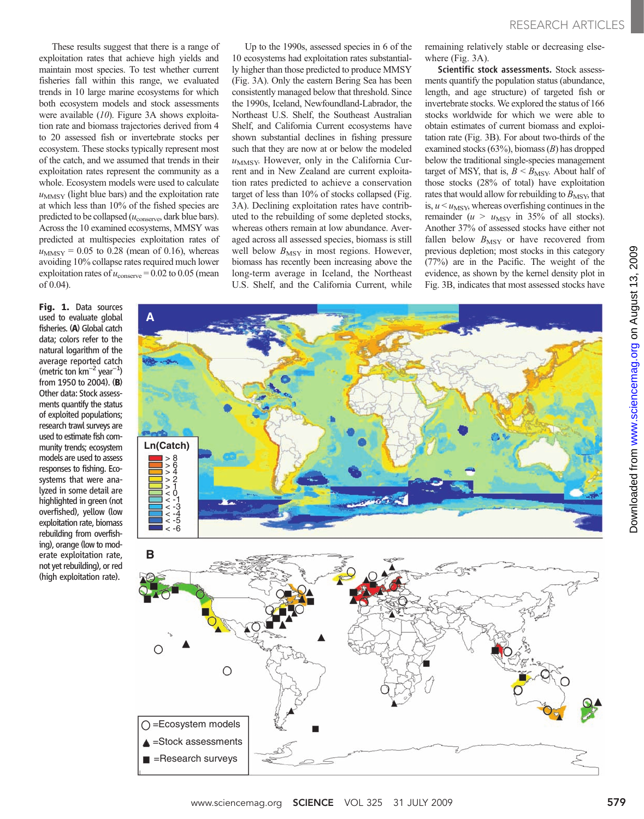These results suggest that there is a range of exploitation rates that achieve high yields and maintain most species. To test whether current fisheries fall within this range, we evaluated trends in 10 large marine ecosystems for which both ecosystem models and stock assessments were available (10). Figure 3A shows exploitation rate and biomass trajectories derived from 4 to 20 assessed fish or invertebrate stocks per ecosystem. These stocks typically represent most of the catch, and we assumed that trends in their exploitation rates represent the community as a whole. Ecosystem models were used to calculate  $u<sub>MMSY</sub>$  (light blue bars) and the exploitation rate at which less than 10% of the fished species are predicted to be collapsed  $(u_{\text{conserve}}, \text{dark blue bars}).$ Across the 10 examined ecosystems, MMSY was predicted at multispecies exploitation rates of  $u_{MMSY} = 0.05$  to 0.28 (mean of 0.16), whereas avoiding 10% collapse rates required much lower exploitation rates of  $u_{\text{conserve}} = 0.02$  to 0.05 (mean of 0.04).

Fig. 1. Data sources used to evaluate global fisheries. (A) Global catch data; colors refer to the natural logarithm of the average reported catch (metric ton km<sup>-2</sup> year<sup>-1</sup>) from 1950 to 2004). (B) Other data: Stock assessments quantify the status of exploited populations; research trawl surveys are used to estimate fish community trends; ecosystem models are used to assess responses to fishing. Ecosystems that were analyzed in some detail are highlighted in green (not overfished), yellow (low exploitation rate, biomass rebuilding from overfishing), orange (low to moderate exploitation rate, not yet rebuilding), or red (high exploitation rate).

Up to the 1990s, assessed species in 6 of the 10 ecosystems had exploitation rates substantially higher than those predicted to produce MMSY (Fig. 3A). Only the eastern Bering Sea has been consistently managed below that threshold. Since the 1990s, Iceland, Newfoundland-Labrador, the Northeast U.S. Shelf, the Southeast Australian Shelf, and California Current ecosystems have shown substantial declines in fishing pressure such that they are now at or below the modeled  $u<sub>MMSY</sub>$ . However, only in the California Current and in New Zealand are current exploitation rates predicted to achieve a conservation target of less than 10% of stocks collapsed (Fig. 3A). Declining exploitation rates have contributed to the rebuilding of some depleted stocks, whereas others remain at low abundance. Averaged across all assessed species, biomass is still well below  $B_{\text{MSY}}$  in most regions. However, biomass has recently been increasing above the long-term average in Iceland, the Northeast U.S. Shelf, and the California Current, while

remaining relatively stable or decreasing elsewhere (Fig. 3A).

Scientific stock assessments. Stock assessments quantify the population status (abundance, length, and age structure) of targeted fish or invertebrate stocks. We explored the status of 166 stocks worldwide for which we were able to obtain estimates of current biomass and exploitation rate (Fig. 3B). For about two-thirds of the examined stocks (63%), biomass (B) has dropped below the traditional single-species management target of MSY, that is,  $B \leq B_{\text{MSY}}$ . About half of those stocks (28% of total) have exploitation rates that would allow for rebuilding to  $B_{\text{MSY}}$ , that is,  $u \leq u$ <sub>MSY</sub>, whereas overfishing continues in the remainder ( $u > u_{\text{MSY}}$  in 35% of all stocks). Another 37% of assessed stocks have either not fallen below  $B_{\text{MSY}}$  or have recovered from previous depletion; most stocks in this category (77%) are in the Pacific. The weight of the evidence, as shown by the kernel density plot in Fig. 3B, indicates that most assessed stocks have

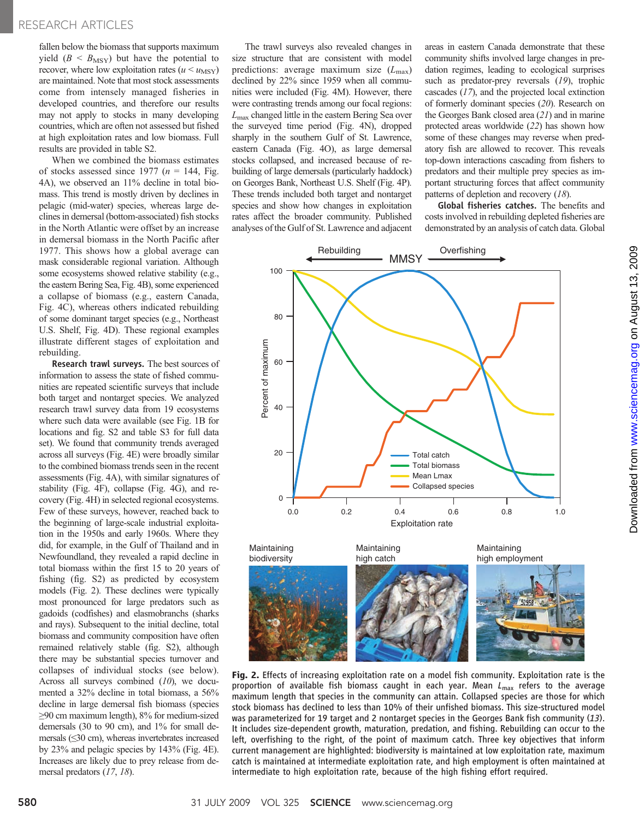fallen below the biomass that supports maximum yield  $(B < B_{\text{MSY}})$  but have the potential to recover, where low exploitation rates ( $u \leq u_{\text{MSY}}$ ) are maintained. Note that most stock assessments come from intensely managed fisheries in developed countries, and therefore our results may not apply to stocks in many developing countries, which are often not assessed but fished at high exploitation rates and low biomass. Full results are provided in table S2.

When we combined the biomass estimates of stocks assessed since 1977 ( $n = 144$ , Fig. 4A), we observed an 11% decline in total biomass. This trend is mostly driven by declines in pelagic (mid-water) species, whereas large declines in demersal (bottom-associated) fish stocks in the North Atlantic were offset by an increase in demersal biomass in the North Pacific after 1977. This shows how a global average can mask considerable regional variation. Although some ecosystems showed relative stability (e.g., the eastern Bering Sea, Fig. 4B), some experienced a collapse of biomass (e.g., eastern Canada, Fig. 4C), whereas others indicated rebuilding of some dominant target species (e.g., Northeast U.S. Shelf, Fig. 4D). These regional examples illustrate different stages of exploitation and rebuilding.

Research trawl surveys. The best sources of information to assess the state of fished communities are repeated scientific surveys that include both target and nontarget species. We analyzed research trawl survey data from 19 ecosystems where such data were available (see Fig. 1B for locations and fig. S2 and table S3 for full data set). We found that community trends averaged across all surveys (Fig. 4E) were broadly similar to the combined biomass trends seen in the recent assessments (Fig. 4A), with similar signatures of stability (Fig. 4F), collapse (Fig. 4G), and recovery (Fig. 4H) in selected regional ecosystems. Few of these surveys, however, reached back to the beginning of large-scale industrial exploitation in the 1950s and early 1960s. Where they did, for example, in the Gulf of Thailand and in Newfoundland, they revealed a rapid decline in total biomass within the first 15 to 20 years of fishing (fig. S2) as predicted by ecosystem models (Fig. 2). These declines were typically most pronounced for large predators such as gadoids (codfishes) and elasmobranchs (sharks and rays). Subsequent to the initial decline, total biomass and community composition have often remained relatively stable (fig. S2), although there may be substantial species turnover and collapses of individual stocks (see below). Across all surveys combined  $(10)$ , we documented a 32% decline in total biomass, a 56% decline in large demersal fish biomass (species ≥90 cm maximum length), 8% for medium-sized demersals (30 to 90 cm), and 1% for small demersals (≤30 cm), whereas invertebrates increased by 23% and pelagic species by 143% (Fig. 4E). Increases are likely due to prey release from demersal predators (17, 18).

The trawl surveys also revealed changes in size structure that are consistent with model predictions: average maximum size  $(L_{\text{max}})$ declined by 22% since 1959 when all communities were included (Fig. 4M). However, there were contrasting trends among our focal regions:  $L_{\text{max}}$  changed little in the eastern Bering Sea over the surveyed time period (Fig. 4N), dropped sharply in the southern Gulf of St. Lawrence, eastern Canada (Fig. 4O), as large demersal stocks collapsed, and increased because of rebuilding of large demersals (particularly haddock) on Georges Bank, Northeast U.S. Shelf (Fig. 4P). These trends included both target and nontarget species and show how changes in exploitation rates affect the broader community. Published analyses of the Gulf of St. Lawrence and adjacent

areas in eastern Canada demonstrate that these community shifts involved large changes in predation regimes, leading to ecological surprises such as predator-prey reversals (19), trophic cascades (17), and the projected local extinction of formerly dominant species (20). Research on the Georges Bank closed area (21) and in marine protected areas worldwide (22) has shown how some of these changes may reverse when predatory fish are allowed to recover. This reveals top-down interactions cascading from fishers to predators and their multiple prey species as important structuring forces that affect community patterns of depletion and recovery (18).

Global fisheries catches. The benefits and costs involved in rebuilding depleted fisheries are demonstrated by an analysis of catch data. Global



Fig. 2. Effects of increasing exploitation rate on a model fish community. Exploitation rate is the proportion of available fish biomass caught in each year. Mean  $L_{\text{max}}$  refers to the average maximum length that species in the community can attain. Collapsed species are those for which stock biomass has declined to less than 10% of their unfished biomass. This size-structured model was parameterized for 19 target and 2 nontarget species in the Georges Bank fish community (13). It includes size-dependent growth, maturation, predation, and fishing. Rebuilding can occur to the left, overfishing to the right, of the point of maximum catch. Three key objectives that inform current management are highlighted: biodiversity is maintained at low exploitation rate, maximum catch is maintained at intermediate exploitation rate, and high employment is often maintained at intermediate to high exploitation rate, because of the high fishing effort required.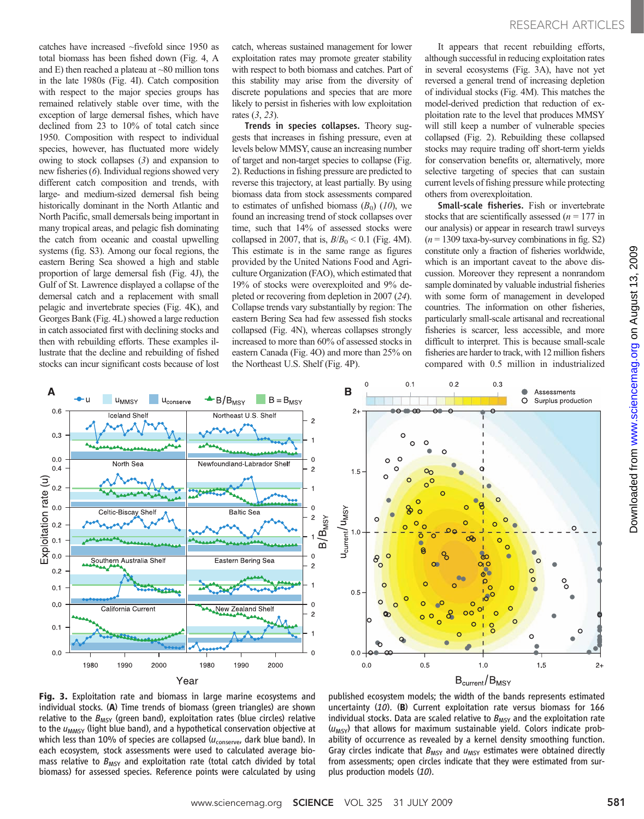catches have increased ~fivefold since 1950 as total biomass has been fished down (Fig. 4, A and E) then reached a plateau at  $~80$  million tons in the late 1980s (Fig. 4I). Catch composition with respect to the major species groups has remained relatively stable over time, with the exception of large demersal fishes, which have declined from 23 to 10% of total catch since 1950. Composition with respect to individual species, however, has fluctuated more widely owing to stock collapses (3) and expansion to new fisheries (6). Individual regions showed very different catch composition and trends, with large- and medium-sized demersal fish being historically dominant in the North Atlantic and North Pacific, small demersals being important in many tropical areas, and pelagic fish dominating the catch from oceanic and coastal upwelling systems (fig. S3). Among our focal regions, the eastern Bering Sea showed a high and stable proportion of large demersal fish (Fig. 4J), the Gulf of St. Lawrence displayed a collapse of the demersal catch and a replacement with small pelagic and invertebrate species (Fig. 4K), and Georges Bank (Fig. 4L) showed a large reduction in catch associated first with declining stocks and then with rebuilding efforts. These examples illustrate that the decline and rebuilding of fished stocks can incur significant costs because of lost

catch, whereas sustained management for lower exploitation rates may promote greater stability with respect to both biomass and catches. Part of this stability may arise from the diversity of discrete populations and species that are more likely to persist in fisheries with low exploitation rates (3, 23).

Trends in species collapses. Theory suggests that increases in fishing pressure, even at levels below MMSY, cause an increasing number of target and non-target species to collapse (Fig. 2). Reductions in fishing pressure are predicted to reverse this trajectory, at least partially. By using biomass data from stock assessments compared to estimates of unfished biomass  $(B_0)$  (10), we found an increasing trend of stock collapses over time, such that 14% of assessed stocks were collapsed in 2007, that is,  $B/B_0 \leq 0.1$  (Fig. 4M). This estimate is in the same range as figures provided by the United Nations Food and Agriculture Organization (FAO), which estimated that 19% of stocks were overexploited and 9% depleted or recovering from depletion in 2007 (24). Collapse trends vary substantially by region: The eastern Bering Sea had few assessed fish stocks collapsed (Fig. 4N), whereas collapses strongly increased to more than 60% of assessed stocks in eastern Canada (Fig. 4O) and more than 25% on the Northeast U.S. Shelf (Fig. 4P).

It appears that recent rebuilding efforts, although successful in reducing exploitation rates in several ecosystems (Fig. 3A), have not yet reversed a general trend of increasing depletion of individual stocks (Fig. 4M). This matches the model-derived prediction that reduction of exploitation rate to the level that produces MMSY will still keep a number of vulnerable species collapsed (Fig. 2). Rebuilding these collapsed stocks may require trading off short-term yields for conservation benefits or, alternatively, more selective targeting of species that can sustain current levels of fishing pressure while protecting others from overexploitation.

Small-scale fisheries. Fish or invertebrate stocks that are scientifically assessed ( $n = 177$  in our analysis) or appear in research trawl surveys  $(n = 1309 \text{ taxa-by-survey combinations in fig. S2})$ constitute only a fraction of fisheries worldwide, which is an important caveat to the above discussion. Moreover they represent a nonrandom sample dominated by valuable industrial fisheries with some form of management in developed countries. The information on other fisheries, particularly small-scale artisanal and recreational fisheries is scarcer, less accessible, and more difficult to interpret. This is because small-scale fisheries are harder to track, with 12 million fishers compared with 0.5 million in industrialized





Fig. 3. Exploitation rate and biomass in large marine ecosystems and individual stocks. (A) Time trends of biomass (green triangles) are shown relative to the  $B_{MSY}$  (green band), exploitation rates (blue circles) relative to the  $u_{MMSY}$  (light blue band), and a hypothetical conservation objective at which less than 10% of species are collapsed ( $u_{\text{conserve}}$ , dark blue band). In each ecosystem, stock assessments were used to calculated average biomass relative to  $B_{MSY}$  and exploitation rate (total catch divided by total biomass) for assessed species. Reference points were calculated by using

published ecosystem models; the width of the bands represents estimated uncertainty  $(10)$ . (B) Current exploitation rate versus biomass for 166 individual stocks. Data are scaled relative to  $B_{MSY}$  and the exploitation rate  $(u<sub>MSY</sub>)$  that allows for maximum sustainable yield. Colors indicate probability of occurrence as revealed by a kernel density smoothing function. Gray circles indicate that  $B_{MSY}$  and  $u_{MSY}$  estimates were obtained directly from assessments; open circles indicate that they were estimated from surplus production models (10).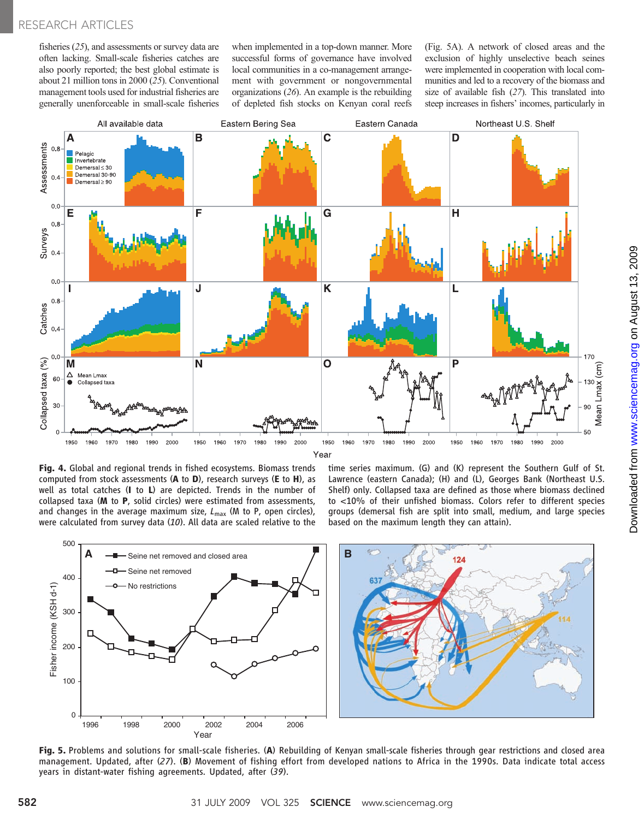fisheries (25), and assessments or survey data are often lacking. Small-scale fisheries catches are also poorly reported; the best global estimate is about 21 million tons in 2000 (25). Conventional management tools used for industrial fisheries are generally unenforceable in small-scale fisheries when implemented in a top-down manner. More successful forms of governance have involved local communities in a co-management arrangement with government or nongovernmental organizations (26). An example is the rebuilding of depleted fish stocks on Kenyan coral reefs

(Fig. 5A). A network of closed areas and the exclusion of highly unselective beach seines were implemented in cooperation with local communities and led to a recovery of the biomass and size of available fish (27). This translated into steep increases in fishers' incomes, particularly in



Year

Fig. 4. Global and regional trends in fished ecosystems. Biomass trends computed from stock assessments (A to D), research surveys (E to H), as well as total catches (I to L) are depicted. Trends in the number of collapsed taxa (M to P, solid circles) were estimated from assessments, and changes in the average maximum size,  $L_{\text{max}}$  (M to P, open circles), were calculated from survey data (10). All data are scaled relative to the time series maximum. (G) and (K) represent the Southern Gulf of St. Lawrence (eastern Canada); (H) and (L), Georges Bank (Northeast U.S. Shelf) only. Collapsed taxa are defined as those where biomass declined to <10% of their unfished biomass. Colors refer to different species groups (demersal fish are split into small, medium, and large species based on the maximum length they can attain).



Fig. 5. Problems and solutions for small-scale fisheries. (A) Rebuilding of Kenyan small-scale fisheries through gear restrictions and closed area management. Updated, after (27). (B) Movement of fishing effort from developed nations to Africa in the 1990s. Data indicate total access years in distant-water fishing agreements. Updated, after (39).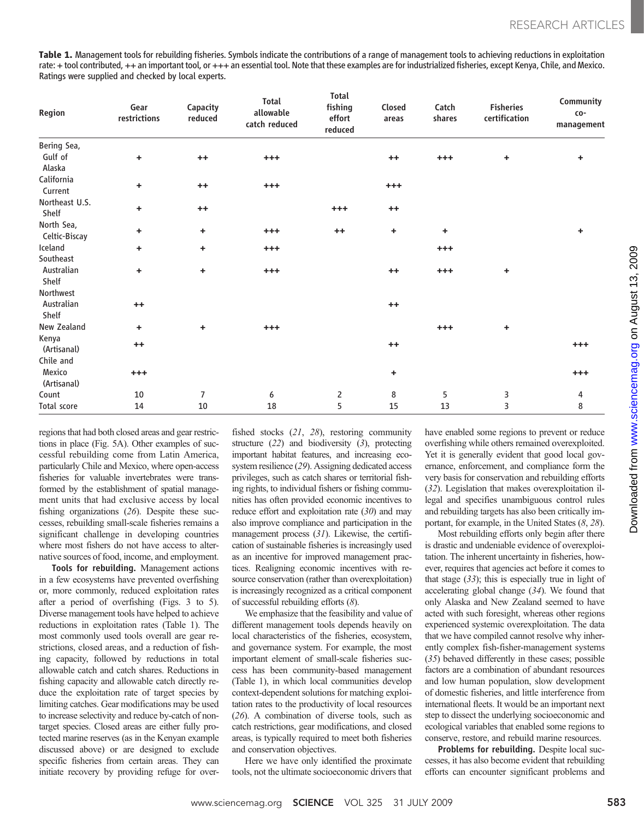Table 1. Management tools for rebuilding fisheries. Symbols indicate the contributions of a range of management tools to achieving reductions in exploitation rate: + tool contributed, ++ an important tool, or +++ an essential tool. Note that these examples are for industrialized fisheries, except Kenya, Chile, and Mexico. Ratings were supplied and checked by local experts.

| Region                      | Gear<br>restrictions | Capacity<br>reduced  | Total<br>allowable<br>catch reduced | <b>Total</b><br>fishing<br>effort<br>reduced | Closed<br>areas | Catch<br>shares | <b>Fisheries</b><br>certification | Community<br>CO-<br>management |
|-----------------------------|----------------------|----------------------|-------------------------------------|----------------------------------------------|-----------------|-----------------|-----------------------------------|--------------------------------|
| Bering Sea,                 |                      |                      |                                     |                                              |                 |                 |                                   |                                |
| Gulf of                     | ٠                    | $++$                 | $^{+++}$                            |                                              | $++$            | $^{+++}$        | $\ddot{}$                         | $\ddot{}$                      |
| Alaska                      |                      |                      |                                     |                                              |                 |                 |                                   |                                |
| California<br>Current       | ٠                    | $++$                 | $^{+++}$                            |                                              | $^{+++}$        |                 |                                   |                                |
| Northeast U.S.<br>Shelf     | ÷                    | $++$                 |                                     | $^{+++}$                                     | $++$            |                 |                                   |                                |
| North Sea,<br>Celtic-Biscay | ٠                    | $\ddot{}$            | $^{+++}$                            | $++$                                         | ÷               | ٠               |                                   | ÷.                             |
| Iceland                     | ٠                    | $\ddot{\phantom{1}}$ | $^{+++}$                            |                                              |                 | $^{+++}$        |                                   |                                |
| Southeast                   |                      |                      |                                     |                                              |                 |                 |                                   |                                |
| Australian<br>Shelf         | ٠                    | ÷                    | $^{+++}$                            |                                              | $++$            | $^{+++}$        | $\ddot{}$                         |                                |
| Northwest                   |                      |                      |                                     |                                              |                 |                 |                                   |                                |
| Australian<br>Shelf         | $++$                 |                      |                                     |                                              | $++$            |                 |                                   |                                |
| New Zealand                 | ٠                    | $\ddot{\phantom{1}}$ | $^{+++}$                            |                                              |                 | $^{+++}$        | ÷                                 |                                |
| Kenya<br>(Artisanal)        | $++$                 |                      |                                     |                                              | $++$            |                 |                                   | $^{++}$                        |
| Chile and                   |                      |                      |                                     |                                              |                 |                 |                                   |                                |
| Mexico<br>(Artisanal)       | $^{+++}$             |                      |                                     |                                              | ÷               |                 |                                   | $^{++}$                        |
| Count                       | 10                   | $\overline{7}$       | 6                                   | $\overline{2}$                               | 8               | 5               | 3                                 | 4                              |
| Total score                 | 14                   | 10                   | 18                                  | 5                                            | 15              | 13              | 3                                 | 8                              |

have enabled some regions to prevent or reduce overfishing while others remained overexploited. Yet it is generally evident that good local governance, enforcement, and compliance form the very basis for conservation and rebuilding efforts (32). Legislation that makes overexploitation illegal and specifies unambiguous control rules and rebuilding targets has also been critically important, for example, in the United States (8, 28). Most rebuilding efforts only begin after there

is drastic and undeniable evidence of overexploitation. The inherent uncertainty in fisheries, however, requires that agencies act before it comes to that stage (33); this is especially true in light of accelerating global change (34). We found that only Alaska and New Zealand seemed to have acted with such foresight, whereas other regions experienced systemic overexploitation. The data that we have compiled cannot resolve why inherently complex fish-fisher-management systems (35) behaved differently in these cases; possible factors are a combination of abundant resources and low human population, slow development of domestic fisheries, and little interference from international fleets. It would be an important next step to dissect the underlying socioeconomic and ecological variables that enabled some regions to conserve, restore, and rebuild marine resources.

Problems for rebuilding. Despite local successes, it has also become evident that rebuilding efforts can encounter significant problems and

regions that had both closed areas and gear restrictions in place (Fig. 5A). Other examples of successful rebuilding come from Latin America, particularly Chile and Mexico, where open-access fisheries for valuable invertebrates were transformed by the establishment of spatial management units that had exclusive access by local fishing organizations (26). Despite these successes, rebuilding small-scale fisheries remains a significant challenge in developing countries where most fishers do not have access to alternative sources of food, income, and employment.

Tools for rebuilding. Management actions in a few ecosystems have prevented overfishing or, more commonly, reduced exploitation rates after a period of overfishing (Figs. 3 to 5). Diverse management tools have helped to achieve reductions in exploitation rates (Table 1). The most commonly used tools overall are gear restrictions, closed areas, and a reduction of fishing capacity, followed by reductions in total allowable catch and catch shares. Reductions in fishing capacity and allowable catch directly reduce the exploitation rate of target species by limiting catches. Gear modifications may be used to increase selectivity and reduce by-catch of nontarget species. Closed areas are either fully protected marine reserves (as in the Kenyan example discussed above) or are designed to exclude specific fisheries from certain areas. They can initiate recovery by providing refuge for overfished stocks (21, 28), restoring community structure (22) and biodiversity (3), protecting important habitat features, and increasing ecosystem resilience (29). Assigning dedicated access privileges, such as catch shares or territorial fishing rights, to individual fishers or fishing communities has often provided economic incentives to reduce effort and exploitation rate  $(30)$  and may also improve compliance and participation in the management process (31). Likewise, the certification of sustainable fisheries is increasingly used as an incentive for improved management practices. Realigning economic incentives with resource conservation (rather than overexploitation) is increasingly recognized as a critical component of successful rebuilding efforts (8).

We emphasize that the feasibility and value of different management tools depends heavily on local characteristics of the fisheries, ecosystem, and governance system. For example, the most important element of small-scale fisheries success has been community-based management (Table 1), in which local communities develop context-dependent solutions for matching exploitation rates to the productivity of local resources (26). A combination of diverse tools, such as catch restrictions, gear modifications, and closed areas, is typically required to meet both fisheries and conservation objectives.

Here we have only identified the proximate tools, not the ultimate socioeconomic drivers that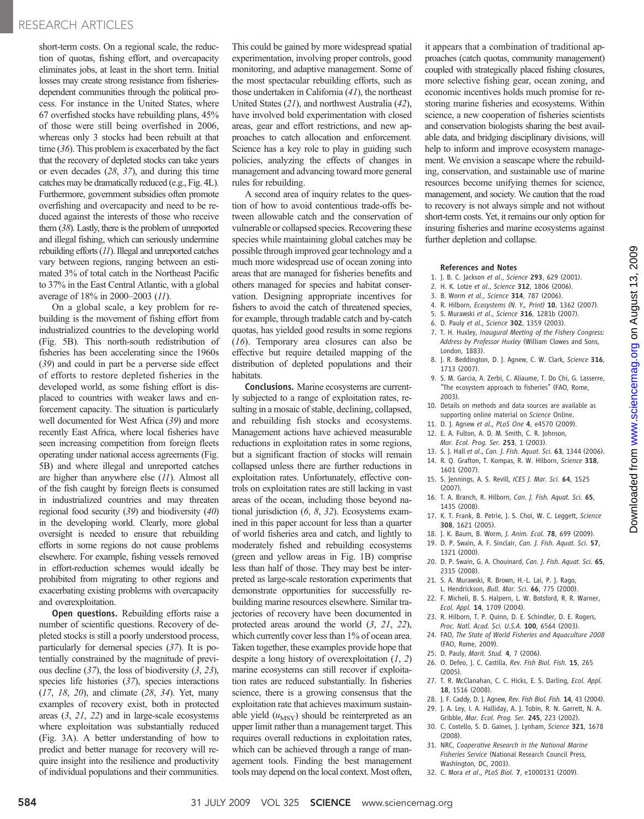### RESEARCH ARTICLES

short-term costs. On a regional scale, the reduction of quotas, fishing effort, and overcapacity eliminates jobs, at least in the short term. Initial losses may create strong resistance from fisheriesdependent communities through the political process. For instance in the United States, where 67 overfished stocks have rebuilding plans, 45% of those were still being overfished in 2006, whereas only 3 stocks had been rebuilt at that time (36). This problem is exacerbated by the fact that the recovery of depleted stocks can take years or even decades (28, 37), and during this time catches may be dramatically reduced (e.g., Fig. 4L). Furthermore, government subsidies often promote overfishing and overcapacity and need to be reduced against the interests of those who receive them (38). Lastly, there is the problem of unreported and illegal fishing, which can seriously undermine rebuilding efforts (11). Illegal and unreported catches vary between regions, ranging between an estimated 3% of total catch in the Northeast Pacific to 37% in the East Central Atlantic, with a global average of 18% in 2000–2003 (11).

On a global scale, a key problem for rebuilding is the movement of fishing effort from industrialized countries to the developing world (Fig. 5B). This north-south redistribution of fisheries has been accelerating since the 1960s (39) and could in part be a perverse side effect of efforts to restore depleted fisheries in the developed world, as some fishing effort is displaced to countries with weaker laws and enforcement capacity. The situation is particularly well documented for West Africa (39) and more recently East Africa, where local fisheries have seen increasing competition from foreign fleets operating under national access agreements (Fig. 5B) and where illegal and unreported catches are higher than anywhere else (11). Almost all of the fish caught by foreign fleets is consumed in industrialized countries and may threaten regional food security (39) and biodiversity (40) in the developing world. Clearly, more global oversight is needed to ensure that rebuilding efforts in some regions do not cause problems elsewhere. For example, fishing vessels removed in effort-reduction schemes would ideally be prohibited from migrating to other regions and exacerbating existing problems with overcapacity and overexploitation.

Open questions. Rebuilding efforts raise a number of scientific questions. Recovery of depleted stocks is still a poorly understood process, particularly for demersal species (37). It is potentially constrained by the magnitude of previous decline  $(37)$ , the loss of biodiversity  $(3, 23)$ , species life histories (37), species interactions (17, 18, 20), and climate (28, 34). Yet, many examples of recovery exist, both in protected areas (3, 21, 22) and in large-scale ecosystems where exploitation was substantially reduced (Fig. 3A). A better understanding of how to predict and better manage for recovery will require insight into the resilience and productivity of individual populations and their communities.

This could be gained by more widespread spatial experimentation, involving proper controls, good monitoring, and adaptive management. Some of the most spectacular rebuilding efforts, such as those undertaken in California (41), the northeast United States (21), and northwest Australia (42), have involved bold experimentation with closed areas, gear and effort restrictions, and new approaches to catch allocation and enforcement. Science has a key role to play in guiding such policies, analyzing the effects of changes in management and advancing toward more general rules for rebuilding.

A second area of inquiry relates to the question of how to avoid contentious trade-offs between allowable catch and the conservation of vulnerable or collapsed species. Recovering these species while maintaining global catches may be possible through improved gear technology and a much more widespread use of ocean zoning into areas that are managed for fisheries benefits and others managed for species and habitat conservation. Designing appropriate incentives for fishers to avoid the catch of threatened species, for example, through tradable catch and by-catch quotas, has yielded good results in some regions (16). Temporary area closures can also be effective but require detailed mapping of the distribution of depleted populations and their habitats.

Conclusions. Marine ecosystems are currently subjected to a range of exploitation rates, resulting in a mosaic of stable, declining, collapsed, and rebuilding fish stocks and ecosystems. Management actions have achieved measurable reductions in exploitation rates in some regions, but a significant fraction of stocks will remain collapsed unless there are further reductions in exploitation rates. Unfortunately, effective controls on exploitation rates are still lacking in vast areas of the ocean, including those beyond national jurisdiction (6, 8, 32). Ecosystems examined in this paper account for less than a quarter of world fisheries area and catch, and lightly to moderately fished and rebuilding ecosystems (green and yellow areas in Fig. 1B) comprise less than half of those. They may best be interpreted as large-scale restoration experiments that demonstrate opportunities for successfully rebuilding marine resources elsewhere. Similar trajectories of recovery have been documented in protected areas around the world (3, 21, 22), which currently cover less than 1% of ocean area. Taken together, these examples provide hope that despite a long history of overexploitation  $(1, 2)$ marine ecosystems can still recover if exploitation rates are reduced substantially. In fisheries science, there is a growing consensus that the exploitation rate that achieves maximum sustainable yield  $(u_{\text{MSY}})$  should be reinterpreted as an upper limit rather than a management target. This requires overall reductions in exploitation rates, which can be achieved through a range of management tools. Finding the best management tools may depend on the local context. Most often,

it appears that a combination of traditional approaches (catch quotas, community management) coupled with strategically placed fishing closures, more selective fishing gear, ocean zoning, and economic incentives holds much promise for restoring marine fisheries and ecosystems. Within science, a new cooperation of fisheries scientists and conservation biologists sharing the best available data, and bridging disciplinary divisions, will help to inform and improve ecosystem management. We envision a seascape where the rebuilding, conservation, and sustainable use of marine resources become unifying themes for science, management, and society. We caution that the road to recovery is not always simple and not without short-term costs. Yet, it remains our only option for insuring fisheries and marine ecosystems against further depletion and collapse.

#### References and Notes

- 1. J. B. C. Jackson et al., Science 293, 629 (2001).
- 2. H. K. Lotze et al., Science 312, 1806 (2006).
- 3. B. Worm et al., Science 314, 787 (2006).
- 4. R. Hilborn, Ecosystems (N. Y., Print) 10, 1362 (2007).
- 5. S. Murawski et al., Science 316, 1281b (2007).
- 6. D. Pauly et al., Science 302, 1359 (2003).
- 7. T. H. Huxley, Inaugural Meeting of the Fishery Congress: Address by Professor Huxley (William Clowes and Sons, London, 1883).

www.sciencemag.orgon August 13, 2009

Downloaded from www.sciencemag.org on August 13, 2009

Downloaded from

- 8. J. R. Beddington, D. J. Agnew, C. W. Clark, Science 316, 1713 (2007).
- 9. S. M. Garcia, A. Zerbi, C. Aliaume, T. Do Chi, G. Lasserre, "The ecosystem approach to fisheries" (FAO, Rome, 2003).
- 10. Details on methods and data sources are available as supporting online material on Science Online.
- 11. D. I. Agnew et al., PLoS One 4, e4570 (2009). 12. E. A. Fulton, A. D. M. Smith, C. R. Johnson,
- Mar. Ecol. Prog. Ser. 253, 1 (2003).
- 13. S. J. Hall et al., Can. J. Fish. Aquat. Sci. 63, 1344 (2006). 14. R. Q. Grafton, T. Kompas, R. W. Hilborn, Science 318,
- 1601 (2007). 15. S. Jennings, A. S. Revill, ICES J. Mar. Sci. 64, 1525 (2007).
- 16. T. A. Branch, R. Hilborn, Can. J. Fish. Aquat. Sci. 65, 1435 (2008).
- 17. K. T. Frank, B. Petrie, J. S. Choi, W. C. Leggett, Science 308, 1621 (2005).
- 18. J. K. Baum, B. Worm, J. Anim. Ecol. 78, 699 (2009).
- 19. D. P. Swain, A. F. Sinclair, Can. J. Fish. Aquat. Sci. 57, 1321 (2000).
- 20. D. P. Swain, G. A. Chouinard, Can. J. Fish. Aquat. Sci. 65, 2315 (2008).
- 21. S. A. Murawski, R. Brown, H.-L. Lai, P. J. Rago,
- L. Hendrickson, Bull. Mar. Sci. 66, 775 (2000). 22. F. Micheli, B. S. Halpern, L. W. Botsford, R. R. Warner,
- Ecol. Appl. 14, 1709 (2004). 23. R. Hilborn, T. P. Quinn, D. E. Schindler, D. E. Rogers,
- Proc. Natl. Acad. Sci. U.S.A. 100, 6564 (2003).
- 24. FAO, The State of World Fisheries and Aquaculture 2008 (FAO, Rome, 2009).
- 25. D. Pauly, Marit. Stud. 4, 7 (2006).
- 26. O. Defeo, J. C. Castilla, Rev. Fish Biol. Fish. 15, 265 (2005).
- 27. T. R. McClanahan, C. C. Hicks, E. S. Darling, Ecol. Appl. 18, 1516 (2008).
- 28. J. F. Caddy, D. J. Agnew, Rev. Fish Biol. Fish. 14, 43 (2004). 29. J. A. Ley, I. A. Halliday, A. J. Tobin, R. N. Garrett, N. A.
- Gribble, Mar. Ecol. Prog. Ser. 245, 223 (2002).
- 30. C. Costello, S. D. Gaines, J. Lynham, Science 321, 1678 (2008).
- 31. NRC, Cooperative Research in the National Marine Fisheries Service (National Research Council Press, Washington, DC, 2003).
- 32. C. Mora et al., PLoS Biol. 7, e1000131 (2009).